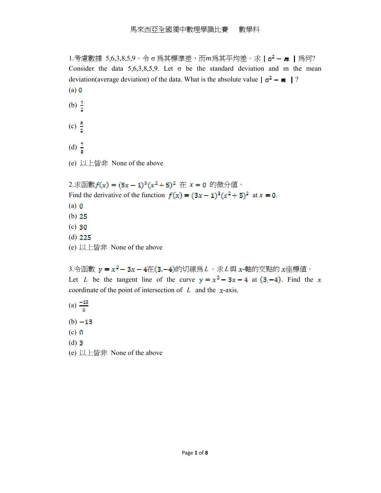1.考慮數據 5,6,3,8,5,9。令 σ 為其標準差,而 $m$ 為其平均差。求 |  $\sigma^2$  – m | 為何? Consider the data 5,6,3,8,5,9. Let  $\sigma$  be the standard deviation and m the mean deviation(average deviation) of the data. What is the absolute value  $\sigma^2 - m$  | ?  $(a)$  0 (b)  $\frac{1}{2}$ 

- (c)  $\frac{5}{2}$
- (d)  $\frac{7}{3}$
- (e) 以上皆非 None of the above

2.求函數 $f(x) = (3x - 1)^3(x^2 + 5)^2$  在  $x = 0$  的微分值。 Find the derivative of the function  $f(x) = (3x - 1)^3 (x^2 + 5)^2$  at  $x = 0$ .  $(a)$   $\boldsymbol{0}$ (b)  $25$  $(c)$  30  $(d)$  225 (e) 以上皆非 None of the above

3.令函數  $y = x^2 - 3x - 4$ 在(3,-4)的切線為  $L \cdot \bar{x} L$ 與  $x$ -軸的交點的  $x \leq m$ 傳值。 Let *L* be the tangent line of the curve  $y = x^2 - 3x - 4$  at  $(3, -4)$ . Find the x coordinate of the point of intersection of  $L$  and the  $x$ -axis.

- (a)  $\frac{-13}{3}$
- $(b) -13$
- $(c)$   $\boldsymbol{0}$
- $(d)$  3
- (e) 以上皆非 None of the above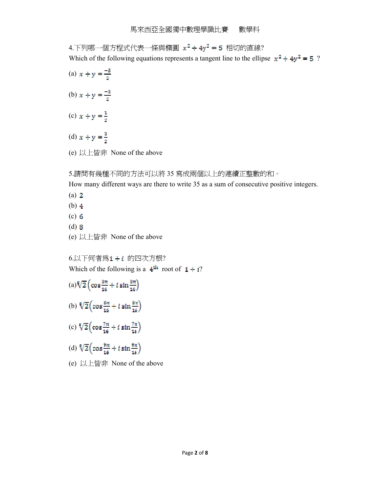$4.$ 下列哪一個方程式代表一條與橢圓  $x^2 + 4y^2 = 5$ 相切的直線?

Which of the following equations represents a tangent line to the ellipse  $x^2 + 4y^2 = 5$ ?

- (a)  $x + y = \frac{-5}{2}$
- (b)  $x + y = \frac{-3}{2}$
- (c)  $x + y = \frac{1}{2}$
- (d)  $x + y = \frac{3}{2}$
- (e) 以上皆非 None of the above

## 5.請問有幾種不同的方法可以將 35 寫成兩個以上的連續正整數的和。

How many different ways are there to write 35 as a sum of consecutive positive integers.

- $(a)$  2
- $(b)$  4
- $(c)$  6
- (d)
- (e) 以上皆非 None of the above

 $6.$ 以下何者爲 $1 + i$ 的四次方根? Which of the following is a  $4^{\text{th}}$  root of  $1 + i$ ?

- $(a) \sqrt[8]{2} \left( \cos \frac{3\pi}{16} + i \sin \frac{3\pi}{16} \right)$
- (b)  $\sqrt[8]{2} \left( \cos \frac{5\pi}{16} + i \sin \frac{5\pi}{16} \right)$
- (c)  $\sqrt[8]{2} \left( \cos \frac{7\pi}{16} + i \sin \frac{7\pi}{16} \right)$
- (d)  $\sqrt[8]{2} \left( \cos \frac{9\pi}{16} + t \sin \frac{9\pi}{16} \right)$
- (e) 以上皆非 None of the above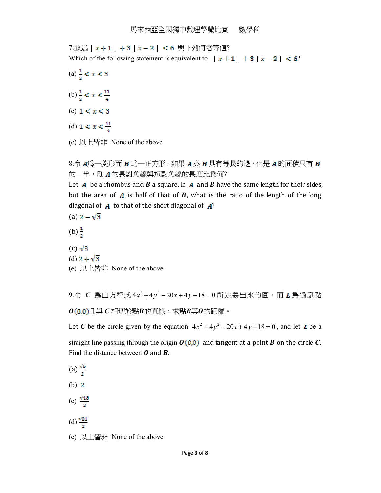7.敘述 | x + 1 | + 3 | x - 2 | < 6 與下列何者等値? Which of the following statement is equivalent to  $|x+1| + 3|x-2| < 6$ ?

- (a)  $\frac{1}{2} < x < 3$
- (b)  $\frac{1}{2} < x < \frac{11}{4}$
- (c)  $1 < x < 3$
- (d)  $1 < x < \frac{11}{1}$
- (e) 以上皆非 None of the above

 $8.\hat{\ominus}$   $A$ 爲一菱形而  $B$  爲一正方形。如果  $A$  與  $B$  具有等長的邊,但是  $A$  的面積只有  $B$ 的一半,則 A的長對角線與短對角線的長度比為何?

Let  $\boldsymbol{A}$  be a rhombus and  $\boldsymbol{B}$  a square. If  $\boldsymbol{A}$  and  $\boldsymbol{B}$  have the same length for their sides, but the area of  $\boldsymbol{A}$  is half of that of  $\boldsymbol{B}$ , what is the ratio of the length of the long diagonal of  $\boldsymbol{A}$  to that of the short diagonal of  $\boldsymbol{A}$ ?

- (a)  $2 \sqrt{3}$
- (b)  $\frac{1}{a}$
- $(c)$   $\sqrt{3}$
- (d)  $2 + \sqrt{3}$
- (e) 以上皆非 None of the above

9.令 **C** 為由方程式 4x<sup>2</sup> + 4y<sup>2</sup> − 20x + 4y + 18 = 0 所定義出來的圓, 而 L 為過原點  $O(0.0)$ 且與 C 相切於點B的直線。求點B與O的距離。

Let *C* be the circle given by the equation  $4x^2 + 4y^2 - 20x + 4y + 18 = 0$ , and let *L* be a straight line passing through the origin  $O(0,0)$  and tangent at a point **B** on the circle C. Find the distance between  $\boldsymbol{0}$  and  $\boldsymbol{B}$ .

- (a)  $\frac{\sqrt{6}}{2}$  $(b)$  2
- 
- (c)  $\frac{\sqrt{10}}{2}$
- (d)  $\frac{\sqrt{21}}{2}$
- (e) 以上皆非 None of the above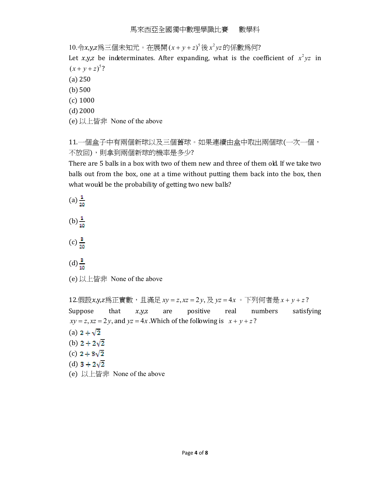10.令x,y,z為三個未知元。在展開 (x + y + z)<sup>5</sup>後 x<sup>2</sup> yz 的係數為何?

Let  $x,y,z$  be indeterminates. After expanding, what is the coefficient of  $x^2yz$  in  $(x + y + z)^5$ ?

- (a) 250
- $(b)500$
- (c) 1000
- (d)2000
- (e) 以上皆非 None of the above

11.一個盒子中有兩個新球以及三個舊球。如果連續由盒中取出兩個球(一次一個, 不放回),則拿到兩個新球的機率是多少?

There are 5 balls in a box with two of them new and three of them old. If we take two balls out from the box, one at a time without putting them back into the box, then what would be the probability of getting two new balls?

- (a)  $\frac{1}{20}$
- 
- $(b) \frac{1}{10}$
- $(c) \frac{3}{20}$
- $(d)\frac{3}{10}$
- (e) 以上皆非 None of the above

12.假設x,y,z為正實數,且滿足 xy = z, xz = 2y, 及 yz = 4x 。下列何者是 x + y + z? Suppose that  $x,y,z$ are positive real numbers satisfying  $xy = z$ ,  $xz = 2y$ , and  $yz = 4x$ . Which of the following is  $x + y + z$ ?

- (a)  $2 + \sqrt{2}$
- (b)  $2 + 2\sqrt{2}$
- (c)  $2 + 3\sqrt{2}$
- (d)  $3 + 2\sqrt{2}$
- (e) 以上皆非 None of the above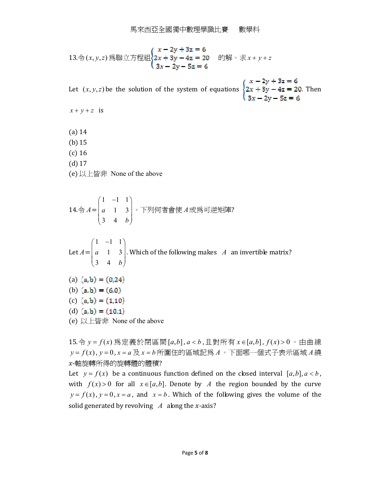13.令(*x*, *y*, *z*) 珪聯立方t!421 = 20 #3*x* = 20 #54. The image shows a 13. ④: 
$$
x - 2y + 3z = 6
$$

$$
3x - 2y - 5z = 6
$$

Let  $(x, y, z)$  be the solution of the system of equations  $\begin{cases} x - 2y + 3z = 6 \\ 2x + 3y - 4z = 20 \end{cases}$ . Then  $\begin{cases} x - 2y + 3z = 6 \\ 3x - 2y - 5z = 6 \end{cases}$ 

 $x + y + z$  is

- (a) 14
- (b)15
- (c) 16
- (d)17
- (e) 以上皆非 None of the above

14.令 
$$
A = \begin{pmatrix} 1 & -1 & 1 \\ a & 1 & 3 \\ 3 & 4 & b \end{pmatrix}
$$
。下列何者會使  $A$ 成為可道短?

Let  $A=$  $1 \quad -1 \quad 1$ 1 3 3 4 *a b*  $(1 -1 1)$  $\begin{bmatrix} 1 & 1 & 2 \end{bmatrix}$  $\begin{pmatrix} a & 1 & 3 \\ 3 & 4 & b \end{pmatrix}$ . Which of the following makes *A* an invertible matrix?

(a) 
$$
(a,b) = (0,24)
$$

(b)  $(a,b) = (6,0)$ 

(c)  $(a,b) = (1,10)$ 

(d) 
$$
(a,b) = (10.1)
$$

(e) 以上皆非 None of the above

15.令 *y* =  $f(x)$  為定義於閉區間 [a,b], a < b,且對所有 x ∈ [a,b],  $f(x) > 0$  。由曲線 *y f x* = ( ) , *y* = 0 , *x a* = 及 *x b* = 所圍住的區域記為 *A*。下面哪一個式子表示區域 *A*繞 --軸旋轉所得的旋轉體的體積?

Let  $y = f(x)$  be a continuous function defined on the closed interval  $[a,b], a < b$ , with  $f(x) > 0$  for all  $x \in [a, b]$ . Denote by *A* the region bounded by the curve  $y = f(x)$ ,  $y = 0$ ,  $x = a$ , and  $x = b$ . Which of the following gives the volume of the solid generated by revolving  $A$  along the x-axis?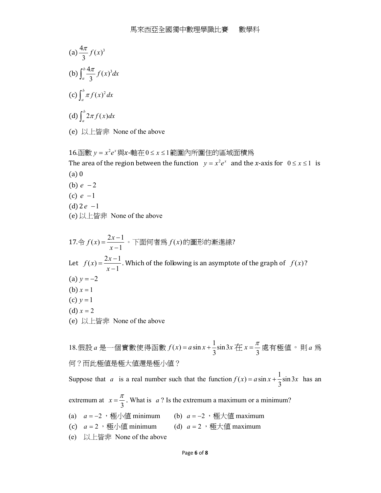- (a)  $\frac{4\pi}{2} f(x)^3$ 3  $\frac{\pi}{\pi} f(x)$ (b)  $\int_{0}^{b} \frac{4\pi}{3} f(x)^{3} dx$ 3 *b*  $\int_a^b \frac{4\pi}{3} f(x)^3 dx$  $(c) \int_0^b \pi f(x)^2$  $\int_a^b \pi f(x)^2 dx$ (d)  $\int^b 2\pi f(x) dx$  $\int_a^b 2\pi f(x)dx$
- (e) 以上皆非 None of the above

 $16.$ 函數  $y = x^2 e^x$ 與 $x$ -軸在 $0 \le x \le 1$ 範圍內所圍住的區域面積爲 The area of the region between the function  $y = x^2 e^x$  and the *x*-axis for  $0 \le x \le 1$  is (a) 0 (b)  $e - 2$ (c) *e* −1  $(d)$ 2 $e$  -1

(e) 以上皆非 None of the above

17.令 
$$
f(x) = \frac{2x-1}{x-1}
$$
。下面何者鷷  $f(x)$ 的個形的ی  
\nLet  $f(x) = \frac{2x-1}{x-1}$ . Which of the following is an asymptote of the graph of  $f(x)$ ?  
\n(a)  $y = -2$   
\n(b)  $x = 1$   
\n(c)  $y = 1$   
\n(d)  $x = 2$   
\n(e) 以上者非 None of the above  
\n18.] 18. (g)  $\frac{2x}{x} = \frac{\pi}{3}$  18. (g)  $\frac{2\pi}{3} = -\frac{\pi}{3}$  18. (g)  $\frac{2\pi}{3} = -\frac{\pi}{3}$  18. (h)  $\frac{2\pi}{3} = -\frac{\pi}{3}$  18. (i)  $\frac{2\pi}{3} = -\frac{\pi}{3}$  18. (i)  $\frac{2\pi}{3} = -\frac{\pi}{3}$  18. (ii)  $\frac{2\pi}{3} = -\frac{\pi}{3}$  18. (b)  $\frac{2\pi}{3} = -\frac{\pi}{3}$  18. (c)  $\frac{2\pi}{3} = -\frac{\pi}{3}$  18. (d)  $\frac{2\pi}{3} = -\frac{\pi}{3}$  18. (e)  $\frac{2\pi}{3} = -\frac{\pi}{3}$  18. (f)  $\frac{2\pi}{3} = -\frac{\pi}{3}$  18. (g)  $\frac{2\pi}{3} = -\frac{\pi}{3}$  18. (h)  $\frac{2\pi}{3} = -\frac{\pi}{3}$  18. (i)  $\frac{2\pi}{3} = -\frac{\pi}{3}$  18. (ii)  $\frac{2\pi}{3} = -\frac{\pi}{3}$  18. (b)  $\frac{2\pi}{3} = -\frac{\pi}{3}$  18. (c)  $\frac{2\pi}{3} = -\frac{\pi}{3}$  18. (d)  $\frac{2\pi}{3} = -\frac{\pi}{3}$  18. (e)  $\frac{2\pi}{3} = -\frac{\pi}{3}$  18. (f)  $\frac{2\pi}{3} = -\$ 

何?而此極值是極大值還是極小值?

Suppose that *a* is a real number such that the function  $f(x) = a \sin x + \frac{1}{2} \sin 3$ . 3  $f(x) = a \sin x + \frac{1}{2} \sin 3x$  has an

- extremum at 3  $x = \frac{\pi}{2}$ . What is *a* ? Is the extremum a maximum or a minimum?
- (a)  $a = -2$ , 極小値 minimum (b)  $a = -2$ , 極大値 maximum
- (c)  $a = 2 \cdot \frac{m \cdot m \cdot \sin m}{m \cdot \sin m}$  (d)  $a = 2 \cdot \frac{m \cdot \sin m \cdot \sin m}{m \cdot \sin m}$
- (e) 以上皆非 None of the above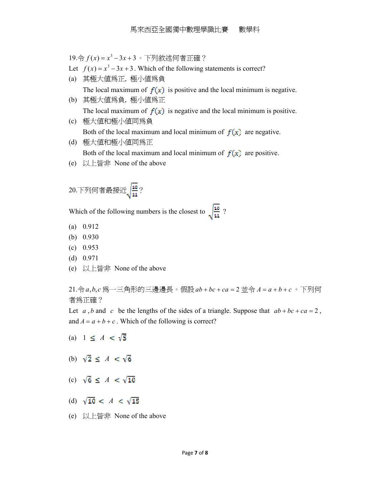19.令 *f* (*x*) = *x*<sup>3</sup> − 3*x* + 3 。下列敘述何者正確?

- Let  $f(x) = x^3 3x + 3$ . Which of the following statements is correct?
- (a) 其極大值為正, 極小值為負 The local maximum of  $f(x)$  is positive and the local minimum is negative.
- (b) 其極大值為負, 極小值為正 The local maximum of  $f(x)$  is negative and the local minimum is positive.
- (c) 極大值和極小值同為負 Both of the local maximum and local minimum of  $f(x)$  are negative.
- (d) 極大值和極小值同為正 Both of the local maximum and local minimum of  $f(x)$  are positive.
- (e) 以上皆非 None of the above
- $20.$ 下列何者最接近 $\sqrt{\frac{10}{11}}$ ?

Which of the following numbers is the closest to  $\sqrt{\frac{10}{11}}$ ?

- (a) 0.912
- (b) 0.930
- (c) 0.953
- (d) 0.971
- (e) 以上皆非 None of the above

21.令*a*,b,c 為一三角形的三邊邊長。假設 ab + bc + ca = 2 並令 A = a + b + c 。下列何 者為正確?

Let *a*, *b* and *c* be the lengths of the sides of a triangle. Suppose that  $ab + bc + ca = 2$ , and  $A = a + b + c$ . Which of the following is correct?

- (a)  $1 \leq A < \sqrt{5}$
- (b)  $\sqrt{2} \le A \le \sqrt{6}$
- (c)  $\sqrt{6} \le A \le \sqrt{10}$
- (d)  $\sqrt{10} < A < \sqrt{15}$
- (e) 以上皆非 None of the above